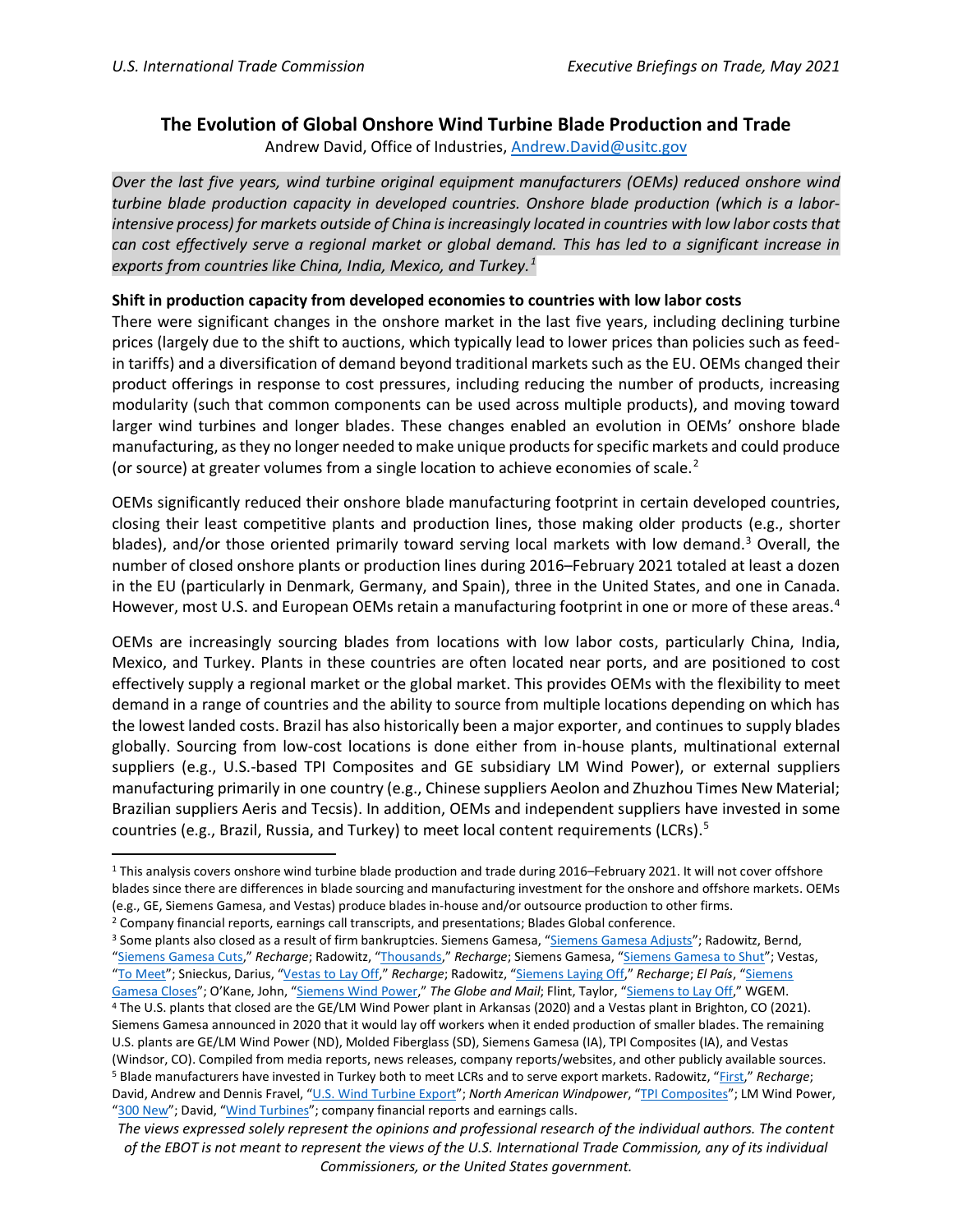## **The Evolution of Global Onshore Wind Turbine Blade Production and Trade**

Andrew David, Office of Industries, [Andrew.David@usitc.gov](mailto:Andrew.David@usitc.gov)

*Over the last five years, wind turbine original equipment manufacturers (OEMs) reduced onshore wind turbine blade production capacity in developed countries. Onshore blade production (which is a laborintensive process) for markets outside of China is increasingly located in countries with low labor costs that can cost effectively serve a regional market or global demand. This has led to a significant increase in exports from countries like China, India, Mexico, and Turkey.[1](#page-0-0)*

## **Shift in production capacity from developed economies to countries with low labor costs**

There were significant changes in the onshore market in the last five years, including declining turbine prices (largely due to the shift to auctions, which typically lead to lower prices than policies such as feedin tariffs) and a diversification of demand beyond traditional markets such as the EU. OEMs changed their product offerings in response to cost pressures, including reducing the number of products, increasing modularity (such that common components can be used across multiple products), and moving toward larger wind turbines and longer blades. These changes enabled an evolution in OEMs' onshore blade manufacturing, as they no longer needed to make unique products for specific markets and could produce (or source) at greater volumes from a single location to achieve economies of scale.<sup>[2](#page-0-1)</sup>

OEMs significantly reduced their onshore blade manufacturing footprint in certain developed countries, closing their least competitive plants and production lines, those making older products (e.g., shorter blades), and/or those oriented primarily toward serving local markets with low demand.<sup>[3](#page-0-2)</sup> Overall, the number of closed onshore plants or production lines during 2016–February 2021 totaled at least a dozen in the EU (particularly in Denmark, Germany, and Spain), three in the United States, and one in Canada. However, most U.S. and European OEMs retain a manufacturing footprint in one or more of these areas.<sup>[4](#page-0-3)</sup>

OEMs are increasingly sourcing blades from locations with low labor costs, particularly China, India, Mexico, and Turkey. Plants in these countries are often located near ports, and are positioned to cost effectively supply a regional market or the global market. This provides OEMs with the flexibility to meet demand in a range of countries and the ability to source from multiple locations depending on which has the lowest landed costs. Brazil has also historically been a major exporter, and continues to supply blades globally. Sourcing from low-cost locations is done either from in-house plants, multinational external suppliers (e.g., U.S.-based TPI Composites and GE subsidiary LM Wind Power), or external suppliers manufacturing primarily in one country (e.g., Chinese suppliers Aeolon and Zhuzhou Times New Material; Brazilian suppliers Aeris and Tecsis). In addition, OEMs and independent suppliers have invested in some countries (e.g., Brazil, Russia, and Turkey) to meet local content requirements (LCRs). [5](#page-0-4)

<span id="page-0-0"></span><sup>1</sup> This analysis covers onshore wind turbine blade production and trade during 2016–February 2021. It will not cover offshore blades since there are differences in blade sourcing and manufacturing investment for the onshore and offshore markets. OEMs (e.g., GE, Siemens Gamesa, and Vestas) produce blades in-house and/or outsource production to other firms.

<span id="page-0-1"></span><sup>2</sup> Company financial reports, earnings call transcripts, and presentations; Blades Global conference.

<span id="page-0-2"></span><sup>&</sup>lt;sup>3</sup> Some plants also closed as a result of firm bankruptcies. Siemens Gamesa, ["Siemens Gamesa Adjusts"](https://www.siemensgamesa.com/newsroom/2021/01/210111-siemens-gamesa-press-release-somozas-cuenca-on-reorg); Radowitz, Bernd, ["Siemens Gamesa Cuts,](https://www.rechargenews.com/wind/siemens-gamesa-cuts-600-jobs-as-it-winds-down-legacy-turbines/2-1-679076)" *Recharge*; Radowitz, ["Thousands,](https://www.rechargenews.com/wind/thousands-to-lose-jobs-as-german-wind-crisis-hits-enercon/2-1-704074)" *Recharge*; Siemens Gamesa, ["Siemens Gamesa to Shut"](https://www.siemensgamesa.com/en-int/newsroom/2020/06/200630-siemens-gamesa-shut-down-factory-navarra-spain); Vestas, ["To Meet"](https://www.vestas.com/en/media/company-news?y=2019&l=82&n=3481296#!NewsView); Snieckus, Darius, ["Vestas to Lay Off,"](https://www.rechargenews.com/wind/vestas-to-lay-off-350-at-lem-blade-factory/1-1-1191529) *Recharge*; Radowitz, ["Siemens Laying Off,](https://www.rechargenews.com/wind/siemens-laying-off-430-as-danish-small-blade-factory-closes/1-1-1215867)" *Recharge*; *El País*, ["Siemens](https://elpais.com/economia/2018/01/29/actualidad/1517253378_394801.html)  [Gamesa Closes"](https://elpais.com/economia/2018/01/29/actualidad/1517253378_394801.html); O'Kane, John, ["Siemens Wind Power,"](https://www.theglobeandmail.com/report-on-business/siemens-to-close-ontario-wind-turbine-blade-plant-340-jobs-to-be-lost/article35716643/) *The Globe and Mail*; Flint, Taylor, ["Siemens to Lay Off,](https://wgem.com/2020/09/14/siemens-to-lay-off-130-workers-at-fort-madison-factory/)" WGEM.

<span id="page-0-3"></span><sup>4</sup> The U.S. plants that closed are the GE/LM Wind Power plant in Arkansas (2020) and a Vestas plant in Brighton, CO (2021). Siemens Gamesa announced in 2020 that it would lay off workers when it ended production of smaller blades. The remaining U.S. plants are GE/LM Wind Power (ND), Molded Fiberglass (SD), Siemens Gamesa (IA), TPI Composites (IA), and Vestas (Windsor, CO). Compiled from media reports, news releases, company reports/websites, and other publicly available sources.<br><sup>5</sup> Blade manufacturers have invested in Turkey both to meet LCRs and to serve export markets. Rado David, Andrew and Dennis Fravel, ["U.S. Wind Turbine Export"](https://www.usitc.gov/publications/332/ID-032_final.pdf); *North American Windpower*, ["TPI Composites"](https://nawindpower.com/tpi-composites-partners-with-turkish-company-on-wind-turbine-blade-manufacturing); LM Wind Power, ["300 New"](https://www.lmwindpower.com/en/stories-and-press/stories/news-from-lm-places/300-new-employees-for-lm-wind-power-plant-in-turkey); David, ["Wind Turbines"](https://www.usitc.gov/publications/332/ITS-2.pdf); company financial reports and earnings calls.

<span id="page-0-4"></span>*The views expressed solely represent the opinions and professional research of the individual authors. The content of the EBOT is not meant to represent the views of the U.S. International Trade Commission, any of its individual Commissioners, or the United States government.*